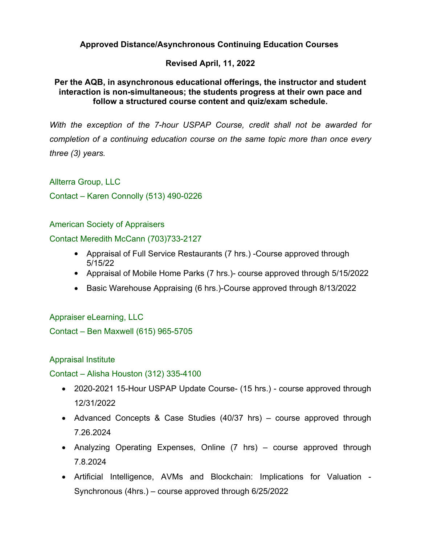## **Approved Distance/Asynchronous Continuing Education Courses**

### **Revised April, 11, 2022**

### **Per the AQB, in asynchronous educational offerings, the instructor and student interaction is non-simultaneous; the students progress at their own pace and follow a structured course content and quiz/exam schedule.**

With the exception of the 7-hour USPAP Course, credit shall not be awarded for *completion of a continuing education course on the same topic more than once every three (3) years.*

Allterra Group, LLC

Contact – Karen Connolly (513) 490-0226

American Society of Appraisers

Contact Meredith McCann (703)733-2127

- Appraisal of Full Service Restaurants (7 hrs.) Course approved through 5/15/22
- Appraisal of Mobile Home Parks (7 hrs.)- course approved through 5/15/2022
- Basic Warehouse Appraising (6 hrs.)-Course approved through 8/13/2022

Appraiser eLearning, LLC Contact – Ben Maxwell (615) 965-5705

Appraisal Institute

Contact – Alisha Houston (312) 335-4100

- 2020-2021 15-Hour USPAP Update Course- (15 hrs.) course approved through 12/31/2022
- Advanced Concepts & Case Studies (40/37 hrs) course approved through 7.26.2024
- Analyzing Operating Expenses, Online (7 hrs) course approved through 7.8.2024
- Artificial Intelligence, AVMs and Blockchain: Implications for Valuation Synchronous (4hrs.) course approved through 6/25/2022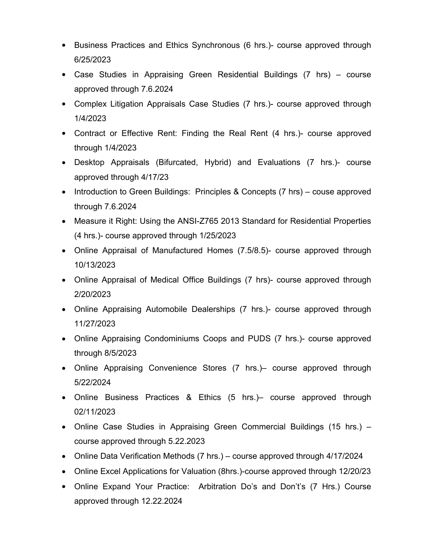- Business Practices and Ethics Synchronous (6 hrs.)- course approved through 6/25/2023
- Case Studies in Appraising Green Residential Buildings (7 hrs) course approved through 7.6.2024
- Complex Litigation Appraisals Case Studies (7 hrs.)- course approved through 1/4/2023
- Contract or Effective Rent: Finding the Real Rent (4 hrs.)- course approved through 1/4/2023
- Desktop Appraisals (Bifurcated, Hybrid) and Evaluations (7 hrs.)- course approved through 4/17/23
- Introduction to Green Buildings: Principles & Concepts (7 hrs) couse approved through 7.6.2024
- Measure it Right: Using the ANSI-Z765 2013 Standard for Residential Properties (4 hrs.)- course approved through 1/25/2023
- Online Appraisal of Manufactured Homes (7.5/8.5)- course approved through 10/13/2023
- Online Appraisal of Medical Office Buildings (7 hrs)- course approved through 2/20/2023
- Online Appraising Automobile Dealerships (7 hrs.)- course approved through 11/27/2023
- Online Appraising Condominiums Coops and PUDS (7 hrs.)- course approved through 8/5/2023
- Online Appraising Convenience Stores (7 hrs.)– course approved through 5/22/2024
- Online Business Practices & Ethics (5 hrs.)– course approved through 02/11/2023
- Online Case Studies in Appraising Green Commercial Buildings (15 hrs.) course approved through 5.22.2023
- Online Data Verification Methods (7 hrs.) course approved through 4/17/2024
- Online Excel Applications for Valuation (8hrs.)-course approved through 12/20/23
- Online Expand Your Practice: Arbitration Do's and Don't's (7 Hrs.) Course approved through 12.22.2024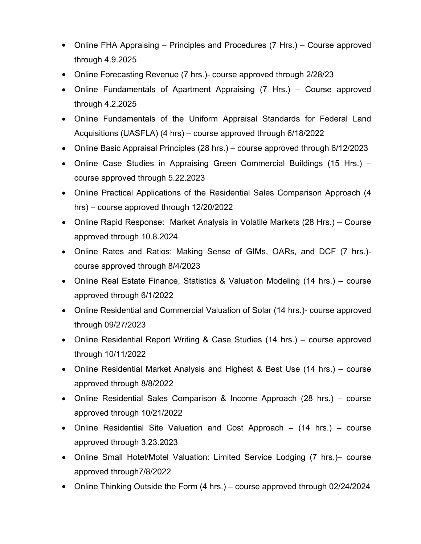- Online FHA Appraising Principles and Procedures (7 Hrs.) Course approved through 4.9.2025
- Online Forecasting Revenue (7 hrs.)- course approved through 2/28/23
- Online Fundamentals of Apartment Appraising (7 Hrs.) Course approved through 4.2.2025
- Online Fundamentals of the Uniform Appraisal Standards for Federal Land Acquisitions (UASFLA) (4 hrs) – course approved through 6/18/2022
- Online Basic Appraisal Principles (28 hrs.) course approved through 6/12/2023
- Online Case Studies in Appraising Green Commercial Buildings (15 Hrs.) course approved through 5.22.2023
- Online Practical Applications of the Residential Sales Comparison Approach (4 hrs) – course approved through 12/20/2022
- Online Rapid Response: Market Analysis in Volatile Markets (28 Hrs.) Course approved through 10.8.2024
- Online Rates and Ratios: Making Sense of GIMs, OARs, and DCF (7 hrs.) course approved through 8/4/2023
- Online Real Estate Finance, Statistics & Valuation Modeling (14 hrs.) course approved through 6/1/2022
- Online Residential and Commercial Valuation of Solar (14 hrs.)- course approved through 09/27/2023
- Online Residential Report Writing & Case Studies (14 hrs.) course approved through 10/11/2022
- Online Residential Market Analysis and Highest & Best Use (14 hrs.) course approved through 8/8/2022
- Online Residential Sales Comparison & Income Approach (28 hrs.) course approved through 10/21/2022
- Online Residential Site Valuation and Cost Approach (14 hrs.) course approved through 3.23.2023
- Online Small Hotel/Motel Valuation: Limited Service Lodging (7 hrs.)– course approved through7/8/2022
- Online Thinking Outside the Form (4 hrs.) course approved through 02/24/2024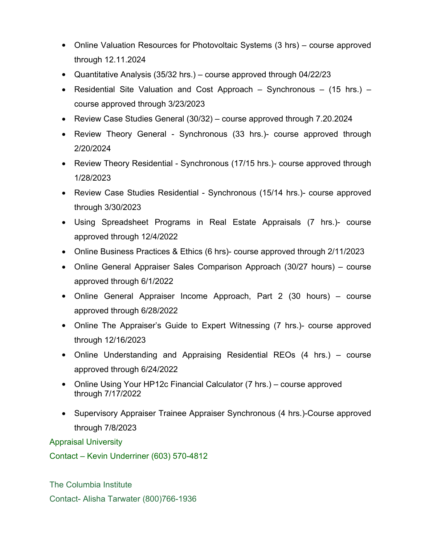- Online Valuation Resources for Photovoltaic Systems (3 hrs) course approved through 12.11.2024
- Quantitative Analysis (35/32 hrs.) course approved through 04/22/23
- Residential Site Valuation and Cost Approach Synchronous (15 hrs.) course approved through  $3/23/2023$
- Review Case Studies General (30/32) course approved through 7.20.2024
- Review Theory General Synchronous (33 hrs.)- course approved through 2/20/2024
- Review Theory Residential Synchronous (17/15 hrs.)- course approved through 1/28/2023
- Review Case Studies Residential Synchronous (15/14 hrs.) course approved through 3/30/2023
- Using Spreadsheet Programs in Real Estate Appraisals (7 hrs.)- course approved through 12/4/2022
- Online Business Practices & Ethics (6 hrs)- course approved through 2/11/2023
- Online General Appraiser Sales Comparison Approach (30/27 hours) course approved through 6/1/2022
- Online General Appraiser Income Approach, Part 2 (30 hours) course approved through 6/28/2022
- Online The Appraiser's Guide to Expert Witnessing (7 hrs.)- course approved through 12/16/2023
- Online Understanding and Appraising Residential REOs (4 hrs.) course approved through 6/24/2022
- Online Using Your HP12c Financial Calculator (7 hrs.) course approved through 7/17/2022
- Supervisory Appraiser Trainee Appraiser Synchronous (4 hrs.)-Course approved through 7/8/2023

Appraisal University

Contact – Kevin Underriner (603) 570-4812

The Columbia Institute Contact- Alisha Tarwater (800)766-1936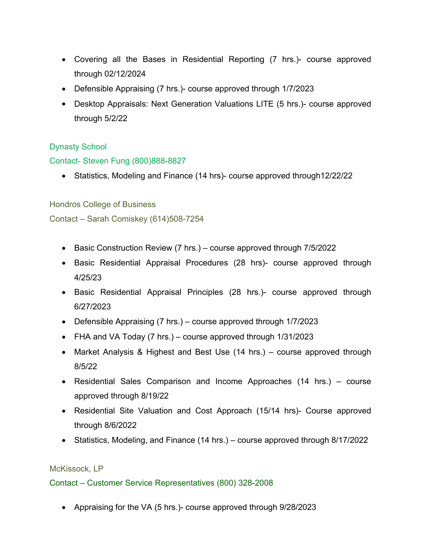- Covering all the Bases in Residential Reporting (7 hrs.)- course approved through 02/12/2024
- Defensible Appraising (7 hrs.)- course approved through 1/7/2023
- Desktop Appraisals: Next Generation Valuations LITE (5 hrs.)- course approved through 5/2/22

# Dynasty School

## Contact- Steven Fung (800)888-8827

Statistics, Modeling and Finance (14 hrs)- course approved through12/22/22

### Hondros College of Business

Contact – Sarah Comiskey (614)508-7254

- Basic Construction Review (7 hrs.) course approved through 7/5/2022
- Basic Residential Appraisal Procedures (28 hrs)- course approved through 4/25/23
- Basic Residential Appraisal Principles (28 hrs.)- course approved through 6/27/2023
- Defensible Appraising (7 hrs.) course approved through 1/7/2023
- FHA and VA Today (7 hrs.) course approved through 1/31/2023
- Market Analysis & Highest and Best Use (14 hrs.) course approved through 8/5/22
- Residential Sales Comparison and Income Approaches (14 hrs.) course approved through 8/19/22
- Residential Site Valuation and Cost Approach (15/14 hrs)- Course approved through 8/6/2022
- Statistics, Modeling, and Finance (14 hrs.) course approved through 8/17/2022

### McKissock, LP

### Contact – Customer Service Representatives (800) 328-2008

Appraising for the VA (5 hrs.)- course approved through 9/28/2023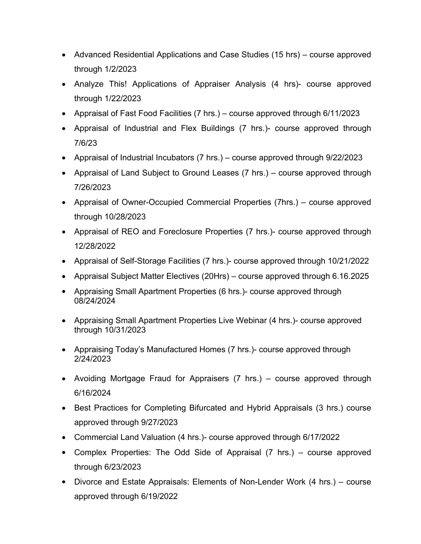- Advanced Residential Applications and Case Studies (15 hrs) course approved through 1/2/2023
- Analyze This! Applications of Appraiser Analysis (4 hrs)- course approved through 1/22/2023
- Appraisal of Fast Food Facilities (7 hrs.) course approved through 6/11/2023
- Appraisal of Industrial and Flex Buildings (7 hrs.)- course approved through 7/6/23
- Appraisal of Industrial Incubators (7 hrs.) course approved through 9/22/2023
- Appraisal of Land Subject to Ground Leases (7 hrs.) course approved through 7/26/2023
- Appraisal of Owner-Occupied Commercial Properties (7hrs.) course approved through 10/28/2023
- Appraisal of REO and Foreclosure Properties (7 hrs.)- course approved through 12/28/2022
- Appraisal of Self-Storage Facilities (7 hrs.)- course approved through 10/21/2022
- Appraisal Subject Matter Electives (20Hrs) course approved through 6.16.2025
- Appraising Small Apartment Properties (6 hrs.)- course approved through 08/24/2024
- Appraising Small Apartment Properties Live Webinar (4 hrs.)- course approved through 10/31/2023
- Appraising Today's Manufactured Homes (7 hrs.)- course approved through 2/24/2023
- Avoiding Mortgage Fraud for Appraisers (7 hrs.) course approved through 6/16/2024
- Best Practices for Completing Bifurcated and Hybrid Appraisals (3 hrs.) course approved through 9/27/2023
- Commercial Land Valuation (4 hrs.)- course approved through 6/17/2022
- Complex Properties: The Odd Side of Appraisal (7 hrs.) course approved through 6/23/2023
- Divorce and Estate Appraisals: Elements of Non-Lender Work (4 hrs.) course approved through 6/19/2022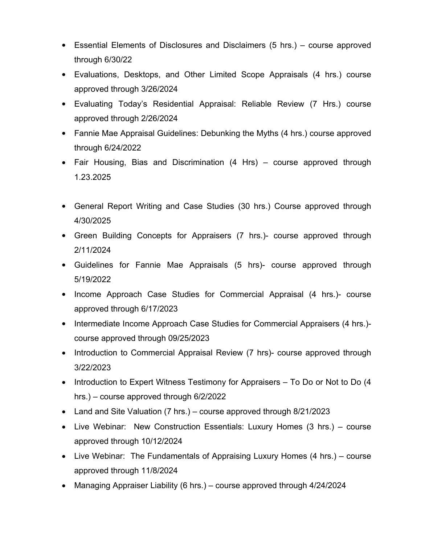- Essential Elements of Disclosures and Disclaimers (5 hrs.) course approved through 6/30/22
- Evaluations, Desktops, and Other Limited Scope Appraisals (4 hrs.) course approved through 3/26/2024
- Evaluating Today's Residential Appraisal: Reliable Review (7 Hrs.) course approved through 2/26/2024
- Fannie Mae Appraisal Guidelines: Debunking the Myths (4 hrs.) course approved through 6/24/2022
- Fair Housing, Bias and Discrimination (4 Hrs) course approved through 1.23.2025
- General Report Writing and Case Studies (30 hrs.) Course approved through 4/30/2025
- Green Building Concepts for Appraisers (7 hrs.)- course approved through 2/11/2024
- Guidelines for Fannie Mae Appraisals (5 hrs)- course approved through 5/19/2022
- Income Approach Case Studies for Commercial Appraisal (4 hrs.)- course approved through 6/17/2023
- Intermediate Income Approach Case Studies for Commercial Appraisers (4 hrs.)course approved through 09/25/2023
- Introduction to Commercial Appraisal Review (7 hrs)- course approved through 3/22/2023
- $\bullet$  Introduction to Expert Witness Testimony for Appraisers  $-$  To Do or Not to Do (4 hrs.) – course approved through 6/2/2022
- Land and Site Valuation (7 hrs.) course approved through 8/21/2023
- Live Webinar: New Construction Essentials: Luxury Homes (3 hrs.) course approved through 10/12/2024
- Live Webinar: The Fundamentals of Appraising Luxury Homes (4 hrs.) course approved through 11/8/2024
- Managing Appraiser Liability (6 hrs.) course approved through 4/24/2024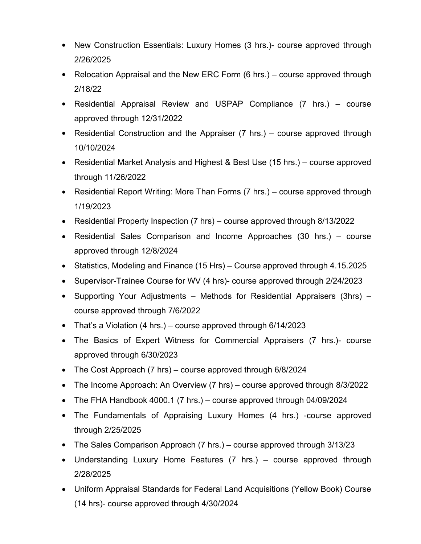- New Construction Essentials: Luxury Homes (3 hrs.)- course approved through 2/26/2025
- Relocation Appraisal and the New ERC Form (6 hrs.) course approved through 2/18/22
- Residential Appraisal Review and USPAP Compliance (7 hrs.) course approved through 12/31/2022
- Residential Construction and the Appraiser (7 hrs.) course approved through 10/10/2024
- Residential Market Analysis and Highest & Best Use (15 hrs.) course approved through 11/26/2022
- Residential Report Writing: More Than Forms (7 hrs.) course approved through 1/19/2023
- Residential Property Inspection (7 hrs) course approved through 8/13/2022
- Residential Sales Comparison and Income Approaches (30 hrs.) course approved through 12/8/2024
- Statistics, Modeling and Finance (15 Hrs) Course approved through 4.15.2025
- Supervisor-Trainee Course for WV (4 hrs)- course approved through 2/24/2023
- Supporting Your Adjustments Methods for Residential Appraisers (3hrs) course approved through 7/6/2022
- That's a Violation (4 hrs.) course approved through 6/14/2023
- The Basics of Expert Witness for Commercial Appraisers (7 hrs.)- course approved through 6/30/2023
- The Cost Approach (7 hrs) course approved through 6/8/2024
- The Income Approach: An Overview (7 hrs) course approved through 8/3/2022
- The FHA Handbook 4000.1 (7 hrs.) course approved through 04/09/2024
- The Fundamentals of Appraising Luxury Homes (4 hrs.) -course approved through 2/25/2025
- The Sales Comparison Approach (7 hrs.) course approved through 3/13/23
- Understanding Luxury Home Features (7 hrs.) course approved through 2/28/2025
- Uniform Appraisal Standards for Federal Land Acquisitions (Yellow Book) Course (14 hrs)- course approved through 4/30/2024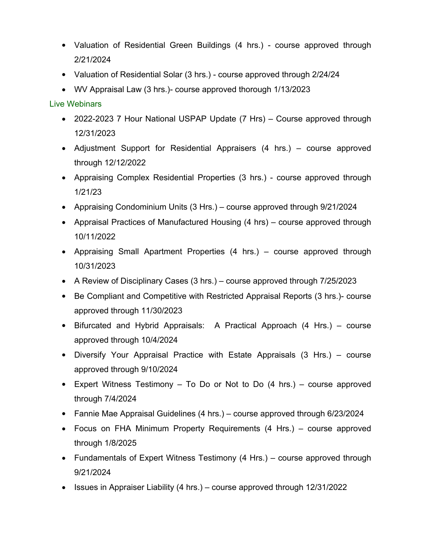- Valuation of Residential Green Buildings (4 hrs.) course approved through 2/21/2024
- Valuation of Residential Solar (3 hrs.) course approved through 2/24/24
- WV Appraisal Law (3 hrs.)- course approved thorough 1/13/2023

# Live Webinars

- 2022-2023 7 Hour National USPAP Update (7 Hrs) Course approved through 12/31/2023
- Adjustment Support for Residential Appraisers (4 hrs.) course approved through 12/12/2022
- Appraising Complex Residential Properties (3 hrs.) course approved through 1/21/23
- Appraising Condominium Units (3 Hrs.) course approved through 9/21/2024
- Appraisal Practices of Manufactured Housing (4 hrs) course approved through 10/11/2022
- Appraising Small Apartment Properties (4 hrs.) course approved through 10/31/2023
- A Review of Disciplinary Cases (3 hrs.) course approved through 7/25/2023
- Be Compliant and Competitive with Restricted Appraisal Reports (3 hrs.)- course approved through 11/30/2023
- Bifurcated and Hybrid Appraisals: A Practical Approach (4 Hrs.) course approved through 10/4/2024
- Diversify Your Appraisal Practice with Estate Appraisals (3 Hrs.) course approved through 9/10/2024
- Expert Witness Testimony  $-$  To Do or Not to Do  $(4 \text{ hrs.}) -$  course approved through 7/4/2024
- Fannie Mae Appraisal Guidelines (4 hrs.) course approved through 6/23/2024
- Focus on FHA Minimum Property Requirements (4 Hrs.) course approved through 1/8/2025
- Fundamentals of Expert Witness Testimony (4 Hrs.) course approved through 9/21/2024
- **ISSUES in Appraiser Liability (4 hrs.)** course approved through  $12/31/2022$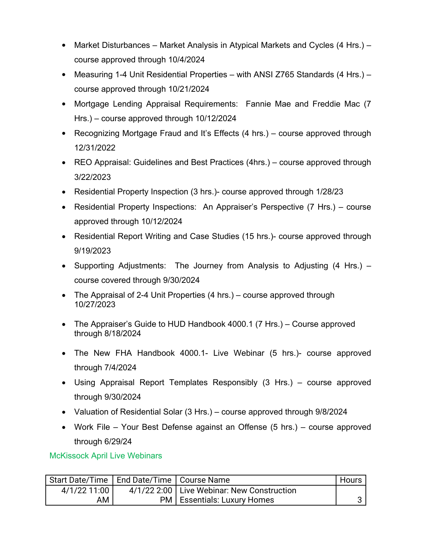- Market Disturbances Market Analysis in Atypical Markets and Cycles (4 Hrs.) course approved through 10/4/2024
- Measuring 1-4 Unit Residential Properties with ANSI Z765 Standards (4 Hrs.) course approved through 10/21/2024
- Mortgage Lending Appraisal Requirements: Fannie Mae and Freddie Mac (7 Hrs.) – course approved through 10/12/2024
- Recognizing Mortgage Fraud and It's Effects (4 hrs.) course approved through 12/31/2022
- REO Appraisal: Guidelines and Best Practices (4hrs.) course approved through 3/22/2023
- Residential Property Inspection (3 hrs.)- course approved through 1/28/23
- Residential Property Inspections: An Appraiser's Perspective (7 Hrs.) course approved through 10/12/2024
- Residential Report Writing and Case Studies (15 hrs.)- course approved through 9/19/2023
- Supporting Adjustments: The Journey from Analysis to Adjusting (4 Hrs.) course covered through 9/30/2024
- The Appraisal of 2-4 Unit Properties (4 hrs.) course approved through 10/27/2023
- The Appraiser's Guide to HUD Handbook 4000.1 (7 Hrs.) Course approved through 8/18/2024
- The New FHA Handbook 4000.1- Live Webinar (5 hrs.)- course approved through 7/4/2024
- Using Appraisal Report Templates Responsibly (3 Hrs.) course approved through 9/30/2024
- Valuation of Residential Solar (3 Hrs.) course approved through 9/8/2024
- Work File Your Best Defense against an Offense (5 hrs.) course approved through 6/29/24

McKissock April Live Webinars

| Start Date/Time | End Date/Time   Course Name |                                              | Hours |
|-----------------|-----------------------------|----------------------------------------------|-------|
| 4/1/22 11:00    |                             | 4/1/22 2:00   Live Webinar: New Construction |       |
| AM              |                             | <b>PM</b>   Essentials: Luxury Homes         |       |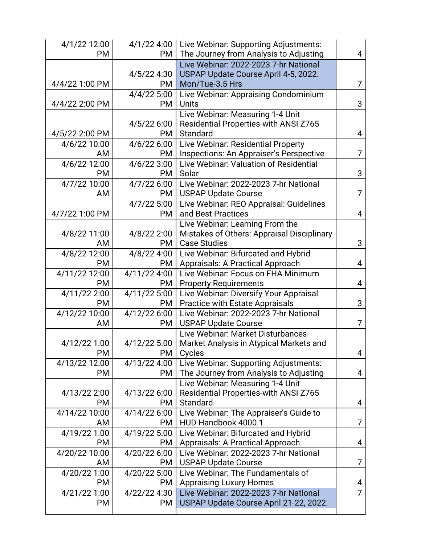| 4/1/22 12:00   |               | 4/1/22 4:00   Live Webinar: Supporting Adjustments: |   |
|----------------|---------------|-----------------------------------------------------|---|
| PM             | PM            | The Journey from Analysis to Adjusting              | 4 |
|                |               | Live Webinar: 2022-2023 7-hr National               |   |
|                | 4/5/22 4:30   | USPAP Update Course April 4-5, 2022.                |   |
| 4/4/22 1:00 PM | PM            | Mon/Tue-3.5 Hrs                                     | 7 |
|                | 4/4/22 5:00   | Live Webinar: Appraising Condominium                |   |
| 4/4/22 2:00 PM | <b>PM</b>     | <b>Units</b>                                        | 3 |
|                |               | Live Webinar: Measuring 1-4 Unit                    |   |
|                | 4/5/22 6:00   | Residential Properties-with ANSI Z765               |   |
| 4/5/22 2:00 PM | PM            | Standard                                            | 4 |
| 4/6/22 10:00   | 4/6/22 6:00   | Live Webinar: Residential Property                  |   |
| AM             | PM            | Inspections: An Appraiser's Perspective             | 7 |
| 4/6/22 12:00   | 4/6/22 3:00   | Live Webinar: Valuation of Residential              |   |
| PM             | <b>PM</b>     | Solar                                               | 3 |
| 4/7/22 10:00   | 4/7/22 6:00   | Live Webinar: 2022-2023 7-hr National               |   |
| AM             | PM            | <b>USPAP Update Course</b>                          | 7 |
|                | $4/7/22$ 5:00 | Live Webinar: REO Appraisal: Guidelines             |   |
| 4/7/22 1:00 PM | <b>PM</b>     | and Best Practices                                  | 4 |
|                |               | Live Webinar: Learning From the                     |   |
| 4/8/22 11:00   | 4/8/22 2:00   | Mistakes of Others: Appraisal Disciplinary          |   |
| AM             | PM            | <b>Case Studies</b>                                 | 3 |
| 4/8/22 12:00   | 4/8/22 4:00   | Live Webinar: Bifurcated and Hybrid                 |   |
| PM             | PM            | Appraisals: A Practical Approach                    | 4 |
| 4/11/22 12:00  | 4/11/22 4:00  | Live Webinar: Focus on FHA Minimum                  |   |
| PM             | PM.           | <b>Property Requirements</b>                        | 4 |
| 4/11/22 2:00   | 4/11/22 5:00  | Live Webinar: Diversify Your Appraisal              |   |
| PM             | PM            | <b>Practice with Estate Appraisals</b>              | 3 |
| 4/12/22 10:00  | 4/12/22 6:00  | Live Webinar: 2022-2023 7-hr National               |   |
| AM             | PM            | <b>USPAP Update Course</b>                          | 7 |
|                |               | Live Webinar: Market Disturbances-                  |   |
| 4/12/22 1:00   | 4/12/22 5:00  | Market Analysis in Atypical Markets and             |   |
| PM             | <b>PM</b>     | Cycles                                              | 4 |
| 4/13/22 12:00  | 4/13/22 4:00  | Live Webinar: Supporting Adjustments:               |   |
| PM             | <b>PM</b>     | The Journey from Analysis to Adjusting              | 4 |
|                |               | Live Webinar: Measuring 1-4 Unit                    |   |
| 4/13/22 2:00   | 4/13/22 6:00  | Residential Properties-with ANSI Z765               |   |
| PM             | <b>PM</b>     | Standard                                            | 4 |
| 4/14/22 10:00  | 4/14/22 6:00  | Live Webinar: The Appraiser's Guide to              |   |
| AM             | <b>PM</b>     | HUD Handbook 4000.1                                 | 7 |
| 4/19/22 1:00   | 4/19/22 5:00  | Live Webinar: Bifurcated and Hybrid                 |   |
| PM             | PM.           | <b>Appraisals: A Practical Approach</b>             | 4 |
| 4/20/22 10:00  | 4/20/22 6:00  | Live Webinar: 2022-2023 7-hr National               |   |
| AM             | <b>PM</b>     | <b>USPAP Update Course</b>                          | 7 |
| 4/20/22 1:00   | 4/20/22 5:00  | Live Webinar: The Fundamentals of                   |   |
| PM             | <b>PM</b>     | <b>Appraising Luxury Homes</b>                      | 4 |
| 4/21/22 1:00   | 4/22/22 4:30  | Live Webinar: 2022-2023 7-hr National               | 7 |
| PM             | <b>PM</b>     | USPAP Update Course April 21-22, 2022.              |   |
|                |               |                                                     |   |